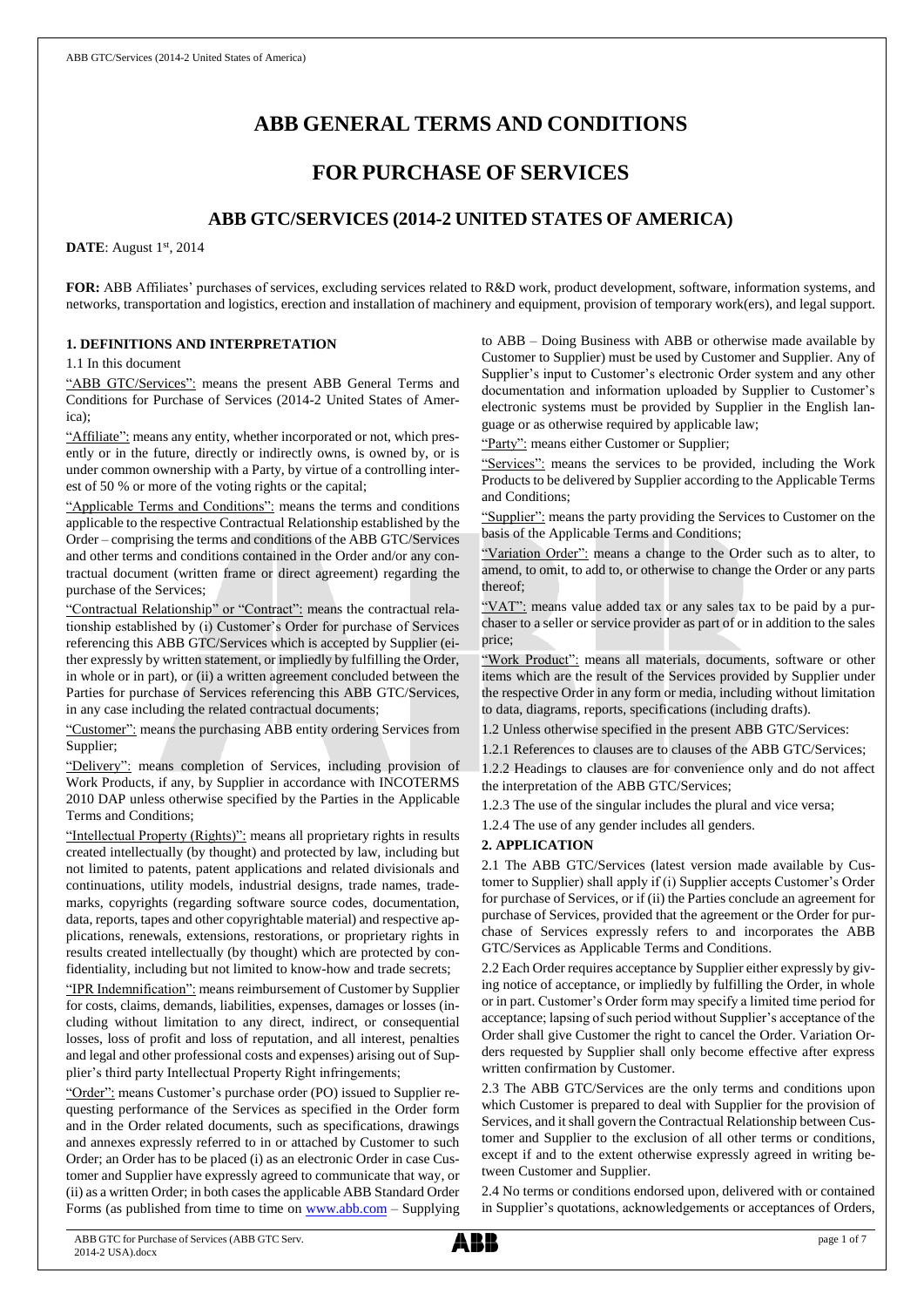# **ABB GENERAL TERMS AND CONDITIONS**

# **FOR PURCHASE OF SERVICES**

# **ABB GTC/SERVICES (2014-2 UNITED STATES OF AMERICA)**

**DATE**: August 1<sup>st</sup>, 2014

**FOR:** ABB Affiliates' purchases of services, excluding services related to R&D work, product development, software, information systems, and networks, transportation and logistics, erection and installation of machinery and equipment, provision of temporary work(ers), and legal support.

### **1. DEFINITIONS AND INTERPRETATION**

1.1 In this document

"ABB GTC/Services": means the present ABB General Terms and Conditions for Purchase of Services (2014-2 United States of America);

"Affiliate": means any entity, whether incorporated or not, which presently or in the future, directly or indirectly owns, is owned by, or is under common ownership with a Party, by virtue of a controlling interest of 50 % or more of the voting rights or the capital;

"Applicable Terms and Conditions": means the terms and conditions applicable to the respective Contractual Relationship established by the Order – comprising the terms and conditions of the ABB GTC/Services and other terms and conditions contained in the Order and/or any contractual document (written frame or direct agreement) regarding the purchase of the Services;

"Contractual Relationship" or "Contract": means the contractual relationship established by (i) Customer's Order for purchase of Services referencing this ABB GTC/Services which is accepted by Supplier (either expressly by written statement, or impliedly by fulfilling the Order, in whole or in part), or (ii) a written agreement concluded between the Parties for purchase of Services referencing this ABB GTC/Services, in any case including the related contractual documents;

"Customer": means the purchasing ABB entity ordering Services from Supplier;

"Delivery": means completion of Services, including provision of Work Products, if any, by Supplier in accordance with INCOTERMS 2010 DAP unless otherwise specified by the Parties in the Applicable Terms and Conditions;

"Intellectual Property (Rights)": means all proprietary rights in results created intellectually (by thought) and protected by law, including but not limited to patents, patent applications and related divisionals and continuations, utility models, industrial designs, trade names, trademarks, copyrights (regarding software source codes, documentation, data, reports, tapes and other copyrightable material) and respective applications, renewals, extensions, restorations, or proprietary rights in results created intellectually (by thought) which are protected by confidentiality, including but not limited to know-how and trade secrets;

"IPR Indemnification": means reimbursement of Customer by Supplier for costs, claims, demands, liabilities, expenses, damages or losses (including without limitation to any direct, indirect, or consequential losses, loss of profit and loss of reputation, and all interest, penalties and legal and other professional costs and expenses) arising out of Supplier's third party Intellectual Property Right infringements;

"Order": means Customer's purchase order (PO) issued to Supplier requesting performance of the Services as specified in the Order form and in the Order related documents, such as specifications, drawings and annexes expressly referred to in or attached by Customer to such Order; an Order has to be placed (i) as an electronic Order in case Customer and Supplier have expressly agreed to communicate that way, or (ii) as a written Order; in both cases the applicable ABB Standard Order Forms (as published from time to time on [www.abb.com](http://www.abb.com/) – Supplying to ABB – Doing Business with ABB or otherwise made available by Customer to Supplier) must be used by Customer and Supplier. Any of Supplier's input to Customer's electronic Order system and any other documentation and information uploaded by Supplier to Customer's electronic systems must be provided by Supplier in the English language or as otherwise required by applicable law;

"Party": means either Customer or Supplier;

"Services": means the services to be provided, including the Work Products to be delivered by Supplier according to the Applicable Terms and Conditions;

"Supplier": means the party providing the Services to Customer on the basis of the Applicable Terms and Conditions;

"Variation Order": means a change to the Order such as to alter, to amend, to omit, to add to, or otherwise to change the Order or any parts thereof;

"VAT": means value added tax or any sales tax to be paid by a purchaser to a seller or service provider as part of or in addition to the sales price;

"Work Product": means all materials, documents, software or other items which are the result of the Services provided by Supplier under the respective Order in any form or media, including without limitation to data, diagrams, reports, specifications (including drafts).

1.2 Unless otherwise specified in the present ABB GTC/Services:

1.2.1 References to clauses are to clauses of the ABB GTC/Services;

1.2.2 Headings to clauses are for convenience only and do not affect the interpretation of the ABB GTC/Services;

1.2.3 The use of the singular includes the plural and vice versa;

1.2.4 The use of any gender includes all genders.

### **2. APPLICATION**

2.1 The ABB GTC/Services (latest version made available by Customer to Supplier) shall apply if (i) Supplier accepts Customer's Order for purchase of Services, or if (ii) the Parties conclude an agreement for purchase of Services, provided that the agreement or the Order for purchase of Services expressly refers to and incorporates the ABB GTC/Services as Applicable Terms and Conditions.

2.2 Each Order requires acceptance by Supplier either expressly by giving notice of acceptance, or impliedly by fulfilling the Order, in whole or in part. Customer's Order form may specify a limited time period for acceptance; lapsing of such period without Supplier's acceptance of the Order shall give Customer the right to cancel the Order. Variation Orders requested by Supplier shall only become effective after express written confirmation by Customer.

2.3 The ABB GTC/Services are the only terms and conditions upon which Customer is prepared to deal with Supplier for the provision of Services, and it shall govern the Contractual Relationship between Customer and Supplier to the exclusion of all other terms or conditions, except if and to the extent otherwise expressly agreed in writing between Customer and Supplier.

2.4 No terms or conditions endorsed upon, delivered with or contained in Supplier's quotations, acknowledgements or acceptances of Orders,

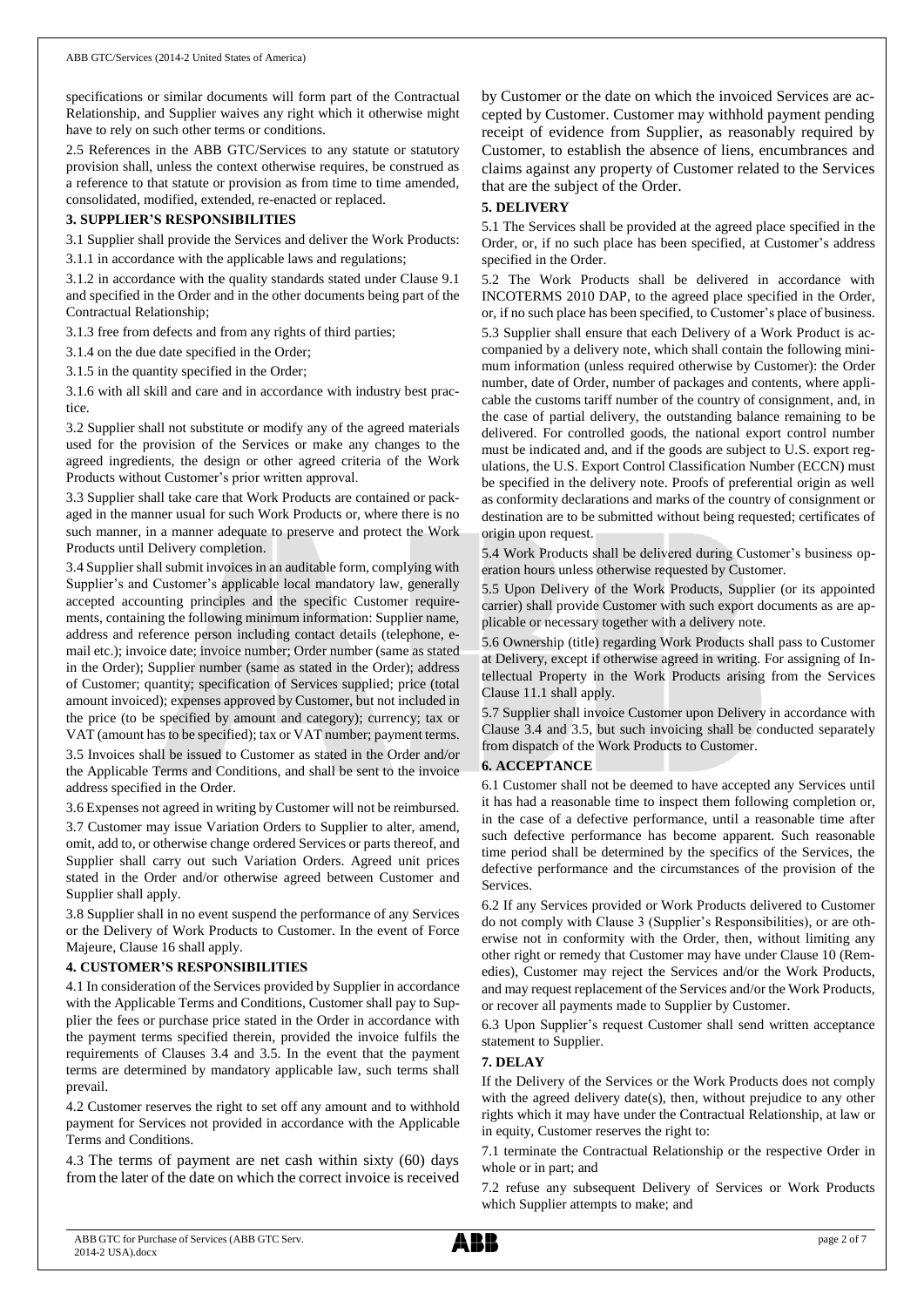specifications or similar documents will form part of the Contractual Relationship, and Supplier waives any right which it otherwise might have to rely on such other terms or conditions.

2.5 References in the ABB GTC/Services to any statute or statutory provision shall, unless the context otherwise requires, be construed as a reference to that statute or provision as from time to time amended, consolidated, modified, extended, re-enacted or replaced.

### **3. SUPPLIER'S RESPONSIBILITIES**

3.1 Supplier shall provide the Services and deliver the Work Products:

3.1.1 in accordance with the applicable laws and regulations;

3.1.2 in accordance with the quality standards stated under Clause 9.1 and specified in the Order and in the other documents being part of the Contractual Relationship;

3.1.3 free from defects and from any rights of third parties;

3.1.4 on the due date specified in the Order;

3.1.5 in the quantity specified in the Order;

3.1.6 with all skill and care and in accordance with industry best practice.

3.2 Supplier shall not substitute or modify any of the agreed materials used for the provision of the Services or make any changes to the agreed ingredients, the design or other agreed criteria of the Work Products without Customer's prior written approval.

3.3 Supplier shall take care that Work Products are contained or packaged in the manner usual for such Work Products or, where there is no such manner, in a manner adequate to preserve and protect the Work Products until Delivery completion.

3.4 Supplier shall submit invoices in an auditable form, complying with Supplier's and Customer's applicable local mandatory law, generally accepted accounting principles and the specific Customer requirements, containing the following minimum information: Supplier name, address and reference person including contact details (telephone, email etc.); invoice date; invoice number; Order number (same as stated in the Order); Supplier number (same as stated in the Order); address of Customer; quantity; specification of Services supplied; price (total amount invoiced); expenses approved by Customer, but not included in the price (to be specified by amount and category); currency; tax or VAT (amount has to be specified); tax or VAT number; payment terms.

3.5 Invoices shall be issued to Customer as stated in the Order and/or the Applicable Terms and Conditions, and shall be sent to the invoice address specified in the Order.

3.6 Expenses not agreed in writing by Customer will not be reimbursed.

3.7 Customer may issue Variation Orders to Supplier to alter, amend, omit, add to, or otherwise change ordered Services or parts thereof, and Supplier shall carry out such Variation Orders. Agreed unit prices stated in the Order and/or otherwise agreed between Customer and Supplier shall apply.

3.8 Supplier shall in no event suspend the performance of any Services or the Delivery of Work Products to Customer. In the event of Force Majeure, Clause 16 shall apply.

# **4. CUSTOMER'S RESPONSIBILITIES**

4.1 In consideration of the Services provided by Supplier in accordance with the Applicable Terms and Conditions, Customer shall pay to Supplier the fees or purchase price stated in the Order in accordance with the payment terms specified therein, provided the invoice fulfils the requirements of Clauses 3.4 and 3.5. In the event that the payment terms are determined by mandatory applicable law, such terms shall prevail.

4.2 Customer reserves the right to set off any amount and to withhold payment for Services not provided in accordance with the Applicable Terms and Conditions.

4.3 The terms of payment are net cash within sixty (60) days from the later of the date on which the correct invoice is received by Customer or the date on which the invoiced Services are accepted by Customer. Customer may withhold payment pending receipt of evidence from Supplier, as reasonably required by Customer, to establish the absence of liens, encumbrances and claims against any property of Customer related to the Services that are the subject of the Order.

## **5. DELIVERY**

5.1 The Services shall be provided at the agreed place specified in the Order, or, if no such place has been specified, at Customer's address specified in the Order.

5.2 The Work Products shall be delivered in accordance with INCOTERMS 2010 DAP, to the agreed place specified in the Order, or, if no such place has been specified, to Customer's place of business. 5.3 Supplier shall ensure that each Delivery of a Work Product is accompanied by a delivery note, which shall contain the following minimum information (unless required otherwise by Customer): the Order number, date of Order, number of packages and contents, where applicable the customs tariff number of the country of consignment, and, in the case of partial delivery, the outstanding balance remaining to be delivered. For controlled goods, the national export control number must be indicated and, and if the goods are subject to U.S. export regulations, the U.S. Export Control Classification Number (ECCN) must be specified in the delivery note. Proofs of preferential origin as well as conformity declarations and marks of the country of consignment or destination are to be submitted without being requested; certificates of origin upon request.

5.4 Work Products shall be delivered during Customer's business operation hours unless otherwise requested by Customer.

5.5 Upon Delivery of the Work Products, Supplier (or its appointed carrier) shall provide Customer with such export documents as are applicable or necessary together with a delivery note.

5.6 Ownership (title) regarding Work Products shall pass to Customer at Delivery, except if otherwise agreed in writing. For assigning of Intellectual Property in the Work Products arising from the Services Clause 11.1 shall apply.

5.7 Supplier shall invoice Customer upon Delivery in accordance with Clause 3.4 and 3.5, but such invoicing shall be conducted separately from dispatch of the Work Products to Customer.

# **6. ACCEPTANCE**

6.1 Customer shall not be deemed to have accepted any Services until it has had a reasonable time to inspect them following completion or, in the case of a defective performance, until a reasonable time after such defective performance has become apparent. Such reasonable time period shall be determined by the specifics of the Services, the defective performance and the circumstances of the provision of the Services.

6.2 If any Services provided or Work Products delivered to Customer do not comply with Clause 3 (Supplier's Responsibilities), or are otherwise not in conformity with the Order, then, without limiting any other right or remedy that Customer may have under Clause 10 (Remedies), Customer may reject the Services and/or the Work Products, and may request replacement of the Services and/or the Work Products, or recover all payments made to Supplier by Customer.

6.3 Upon Supplier's request Customer shall send written acceptance statement to Supplier.

# **7. DELAY**

If the Delivery of the Services or the Work Products does not comply with the agreed delivery date(s), then, without prejudice to any other rights which it may have under the Contractual Relationship, at law or in equity, Customer reserves the right to:

7.1 terminate the Contractual Relationship or the respective Order in whole or in part; and

7.2 refuse any subsequent Delivery of Services or Work Products which Supplier attempts to make; and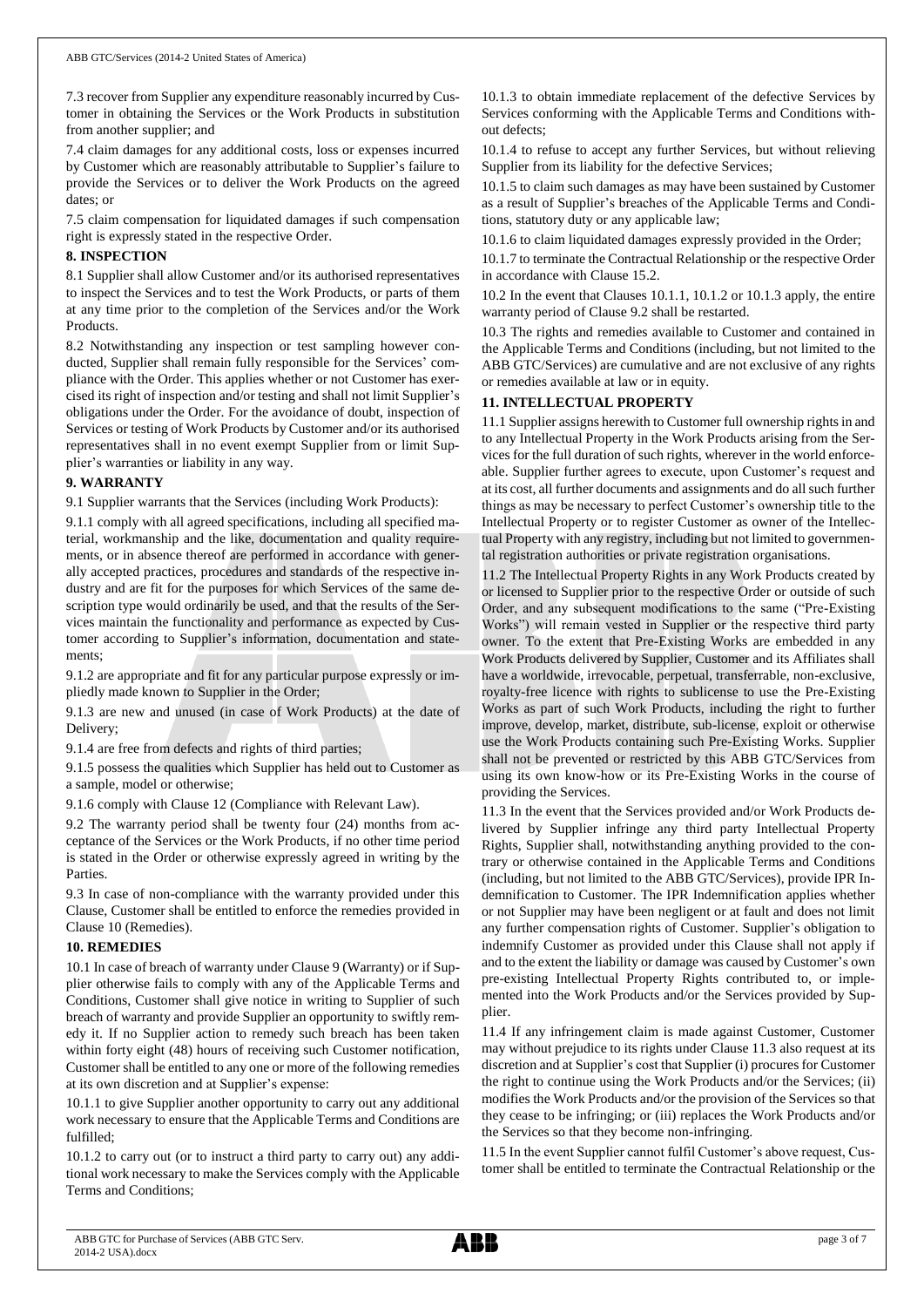7.3 recover from Supplier any expenditure reasonably incurred by Customer in obtaining the Services or the Work Products in substitution from another supplier; and

7.4 claim damages for any additional costs, loss or expenses incurred by Customer which are reasonably attributable to Supplier's failure to provide the Services or to deliver the Work Products on the agreed dates; or

7.5 claim compensation for liquidated damages if such compensation right is expressly stated in the respective Order.

### **8. INSPECTION**

8.1 Supplier shall allow Customer and/or its authorised representatives to inspect the Services and to test the Work Products, or parts of them at any time prior to the completion of the Services and/or the Work Products.

8.2 Notwithstanding any inspection or test sampling however conducted, Supplier shall remain fully responsible for the Services' compliance with the Order. This applies whether or not Customer has exercised its right of inspection and/or testing and shall not limit Supplier's obligations under the Order. For the avoidance of doubt, inspection of Services or testing of Work Products by Customer and/or its authorised representatives shall in no event exempt Supplier from or limit Supplier's warranties or liability in any way.

### **9. WARRANTY**

9.1 Supplier warrants that the Services (including Work Products):

9.1.1 comply with all agreed specifications, including all specified material, workmanship and the like, documentation and quality requirements, or in absence thereof are performed in accordance with generally accepted practices, procedures and standards of the respective industry and are fit for the purposes for which Services of the same description type would ordinarily be used, and that the results of the Services maintain the functionality and performance as expected by Customer according to Supplier's information, documentation and statements;

9.1.2 are appropriate and fit for any particular purpose expressly or impliedly made known to Supplier in the Order;

9.1.3 are new and unused (in case of Work Products) at the date of Delivery;

9.1.4 are free from defects and rights of third parties;

9.1.5 possess the qualities which Supplier has held out to Customer as a sample, model or otherwise;

9.1.6 comply with Clause 12 (Compliance with Relevant Law).

9.2 The warranty period shall be twenty four (24) months from acceptance of the Services or the Work Products, if no other time period is stated in the Order or otherwise expressly agreed in writing by the Parties.

9.3 In case of non-compliance with the warranty provided under this Clause, Customer shall be entitled to enforce the remedies provided in Clause 10 (Remedies).

### **10. REMEDIES**

10.1 In case of breach of warranty under Clause 9 (Warranty) or if Supplier otherwise fails to comply with any of the Applicable Terms and Conditions, Customer shall give notice in writing to Supplier of such breach of warranty and provide Supplier an opportunity to swiftly remedy it. If no Supplier action to remedy such breach has been taken within forty eight (48) hours of receiving such Customer notification, Customer shall be entitled to any one or more of the following remedies at its own discretion and at Supplier's expense:

10.1.1 to give Supplier another opportunity to carry out any additional work necessary to ensure that the Applicable Terms and Conditions are fulfilled;

10.1.2 to carry out (or to instruct a third party to carry out) any additional work necessary to make the Services comply with the Applicable Terms and Conditions;

10.1.3 to obtain immediate replacement of the defective Services by Services conforming with the Applicable Terms and Conditions without defects;

10.1.4 to refuse to accept any further Services, but without relieving Supplier from its liability for the defective Services;

10.1.5 to claim such damages as may have been sustained by Customer as a result of Supplier's breaches of the Applicable Terms and Conditions, statutory duty or any applicable law;

10.1.6 to claim liquidated damages expressly provided in the Order;

10.1.7 to terminate the Contractual Relationship or the respective Order in accordance with Clause 15.2.

10.2 In the event that Clauses 10.1.1, 10.1.2 or 10.1.3 apply, the entire warranty period of Clause 9.2 shall be restarted.

10.3 The rights and remedies available to Customer and contained in the Applicable Terms and Conditions (including, but not limited to the ABB GTC/Services) are cumulative and are not exclusive of any rights or remedies available at law or in equity.

### **11. INTELLECTUAL PROPERTY**

11.1 Supplier assigns herewith to Customer full ownership rights in and to any Intellectual Property in the Work Products arising from the Services for the full duration of such rights, wherever in the world enforceable. Supplier further agrees to execute, upon Customer's request and at its cost, all further documents and assignments and do all such further things as may be necessary to perfect Customer's ownership title to the Intellectual Property or to register Customer as owner of the Intellectual Property with any registry, including but not limited to governmental registration authorities or private registration organisations.

11.2 The Intellectual Property Rights in any Work Products created by or licensed to Supplier prior to the respective Order or outside of such Order, and any subsequent modifications to the same ("Pre-Existing Works") will remain vested in Supplier or the respective third party owner. To the extent that Pre-Existing Works are embedded in any Work Products delivered by Supplier, Customer and its Affiliates shall have a worldwide, irrevocable, perpetual, transferrable, non-exclusive, royalty-free licence with rights to sublicense to use the Pre-Existing Works as part of such Work Products, including the right to further improve, develop, market, distribute, sub-license, exploit or otherwise use the Work Products containing such Pre-Existing Works. Supplier shall not be prevented or restricted by this ABB GTC/Services from using its own know-how or its Pre-Existing Works in the course of providing the Services.

11.3 In the event that the Services provided and/or Work Products delivered by Supplier infringe any third party Intellectual Property Rights, Supplier shall, notwithstanding anything provided to the contrary or otherwise contained in the Applicable Terms and Conditions (including, but not limited to the ABB GTC/Services), provide IPR Indemnification to Customer. The IPR Indemnification applies whether or not Supplier may have been negligent or at fault and does not limit any further compensation rights of Customer. Supplier's obligation to indemnify Customer as provided under this Clause shall not apply if and to the extent the liability or damage was caused by Customer's own pre-existing Intellectual Property Rights contributed to, or implemented into the Work Products and/or the Services provided by Supplier.

11.4 If any infringement claim is made against Customer, Customer may without prejudice to its rights under Clause 11.3 also request at its discretion and at Supplier's cost that Supplier (i) procures for Customer the right to continue using the Work Products and/or the Services; (ii) modifies the Work Products and/or the provision of the Services so that they cease to be infringing; or (iii) replaces the Work Products and/or the Services so that they become non-infringing.

11.5 In the event Supplier cannot fulfil Customer's above request, Customer shall be entitled to terminate the Contractual Relationship or the

ABB GTC for Purchase of Services (ABB GTC Serv. 2014-2 USA).docx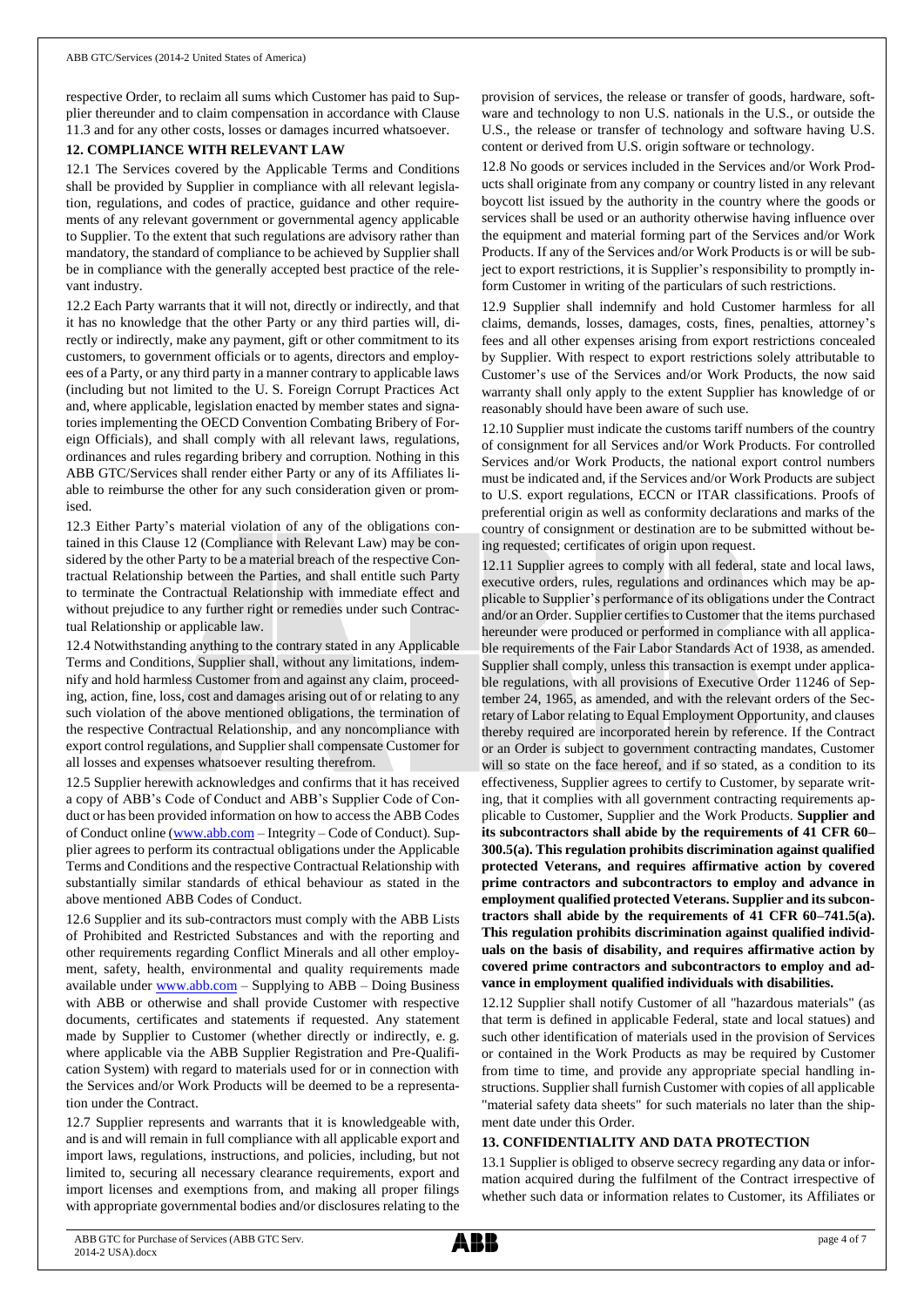respective Order, to reclaim all sums which Customer has paid to Supplier thereunder and to claim compensation in accordance with Clause 11.3 and for any other costs, losses or damages incurred whatsoever.

## **12. COMPLIANCE WITH RELEVANT LAW**

12.1 The Services covered by the Applicable Terms and Conditions shall be provided by Supplier in compliance with all relevant legislation, regulations, and codes of practice, guidance and other requirements of any relevant government or governmental agency applicable to Supplier. To the extent that such regulations are advisory rather than mandatory, the standard of compliance to be achieved by Supplier shall be in compliance with the generally accepted best practice of the relevant industry.

12.2 Each Party warrants that it will not, directly or indirectly, and that it has no knowledge that the other Party or any third parties will, directly or indirectly, make any payment, gift or other commitment to its customers, to government officials or to agents, directors and employees of a Party, or any third party in a manner contrary to applicable laws (including but not limited to the U. S. Foreign Corrupt Practices Act and, where applicable, legislation enacted by member states and signatories implementing the OECD Convention Combating Bribery of Foreign Officials), and shall comply with all relevant laws, regulations, ordinances and rules regarding bribery and corruption. Nothing in this ABB GTC/Services shall render either Party or any of its Affiliates liable to reimburse the other for any such consideration given or promised.

12.3 Either Party's material violation of any of the obligations contained in this Clause 12 (Compliance with Relevant Law) may be considered by the other Party to be a material breach of the respective Contractual Relationship between the Parties, and shall entitle such Party to terminate the Contractual Relationship with immediate effect and without prejudice to any further right or remedies under such Contractual Relationship or applicable law.

12.4 Notwithstanding anything to the contrary stated in any Applicable Terms and Conditions, Supplier shall, without any limitations, indemnify and hold harmless Customer from and against any claim, proceeding, action, fine, loss, cost and damages arising out of or relating to any such violation of the above mentioned obligations, the termination of the respective Contractual Relationship, and any noncompliance with export control regulations, and Supplier shall compensate Customer for all losses and expenses whatsoever resulting therefrom.

12.5 Supplier herewith acknowledges and confirms that it has received a copy of ABB's Code of Conduct and ABB's Supplier Code of Conduct or has been provided information on how to access the ABB Codes of Conduct online [\(www.abb.com](http://www.abb.com/) – Integrity – Code of Conduct). Supplier agrees to perform its contractual obligations under the Applicable Terms and Conditions and the respective Contractual Relationship with substantially similar standards of ethical behaviour as stated in the above mentioned ABB Codes of Conduct.

12.6 Supplier and its sub-contractors must comply with the ABB Lists of Prohibited and Restricted Substances and with the reporting and other requirements regarding Conflict Minerals and all other employment, safety, health, environmental and quality requirements made available unde[r www.abb.com](http://www.abb.com/) - Supplying to ABB - Doing Business with ABB or otherwise and shall provide Customer with respective documents, certificates and statements if requested. Any statement made by Supplier to Customer (whether directly or indirectly, e. g. where applicable via the ABB Supplier Registration and Pre-Qualification System) with regard to materials used for or in connection with the Services and/or Work Products will be deemed to be a representation under the Contract.

12.7 Supplier represents and warrants that it is knowledgeable with, and is and will remain in full compliance with all applicable export and import laws, regulations, instructions, and policies, including, but not limited to, securing all necessary clearance requirements, export and import licenses and exemptions from, and making all proper filings with appropriate governmental bodies and/or disclosures relating to the provision of services, the release or transfer of goods, hardware, software and technology to non U.S. nationals in the U.S., or outside the U.S., the release or transfer of technology and software having U.S. content or derived from U.S. origin software or technology.

12.8 No goods or services included in the Services and/or Work Products shall originate from any company or country listed in any relevant boycott list issued by the authority in the country where the goods or services shall be used or an authority otherwise having influence over the equipment and material forming part of the Services and/or Work Products. If any of the Services and/or Work Products is or will be subject to export restrictions, it is Supplier's responsibility to promptly inform Customer in writing of the particulars of such restrictions.

12.9 Supplier shall indemnify and hold Customer harmless for all claims, demands, losses, damages, costs, fines, penalties, attorney's fees and all other expenses arising from export restrictions concealed by Supplier. With respect to export restrictions solely attributable to Customer's use of the Services and/or Work Products, the now said warranty shall only apply to the extent Supplier has knowledge of or reasonably should have been aware of such use.

12.10 Supplier must indicate the customs tariff numbers of the country of consignment for all Services and/or Work Products. For controlled Services and/or Work Products, the national export control numbers must be indicated and, if the Services and/or Work Products are subject to U.S. export regulations, ECCN or ITAR classifications. Proofs of preferential origin as well as conformity declarations and marks of the country of consignment or destination are to be submitted without being requested; certificates of origin upon request.

12.11 Supplier agrees to comply with all federal, state and local laws, executive orders, rules, regulations and ordinances which may be applicable to Supplier's performance of its obligations under the Contract and/or an Order. Supplier certifies to Customer that the items purchased hereunder were produced or performed in compliance with all applicable requirements of the Fair Labor Standards Act of 1938, as amended. Supplier shall comply, unless this transaction is exempt under applicable regulations, with all provisions of Executive Order 11246 of September 24, 1965, as amended, and with the relevant orders of the Secretary of Labor relating to Equal Employment Opportunity, and clauses thereby required are incorporated herein by reference. If the Contract or an Order is subject to government contracting mandates, Customer will so state on the face hereof, and if so stated, as a condition to its effectiveness, Supplier agrees to certify to Customer, by separate writing, that it complies with all government contracting requirements applicable to Customer, Supplier and the Work Products. **Supplier and its subcontractors shall abide by the requirements of 41 CFR 60– 300.5(a). This regulation prohibits discrimination against qualified protected Veterans, and requires affirmative action by covered prime contractors and subcontractors to employ and advance in employment qualified protected Veterans. Supplier and its subcontractors shall abide by the requirements of 41 CFR 60–741.5(a). This regulation prohibits discrimination against qualified individuals on the basis of disability, and requires affirmative action by covered prime contractors and subcontractors to employ and advance in employment qualified individuals with disabilities.**

12.12 Supplier shall notify Customer of all "hazardous materials" (as that term is defined in applicable Federal, state and local statues) and such other identification of materials used in the provision of Services or contained in the Work Products as may be required by Customer from time to time, and provide any appropriate special handling instructions. Supplier shall furnish Customer with copies of all applicable "material safety data sheets" for such materials no later than the shipment date under this Order.

# **13. CONFIDENTIALITY AND DATA PROTECTION**

13.1 Supplier is obliged to observe secrecy regarding any data or information acquired during the fulfilment of the Contract irrespective of whether such data or information relates to Customer, its Affiliates or

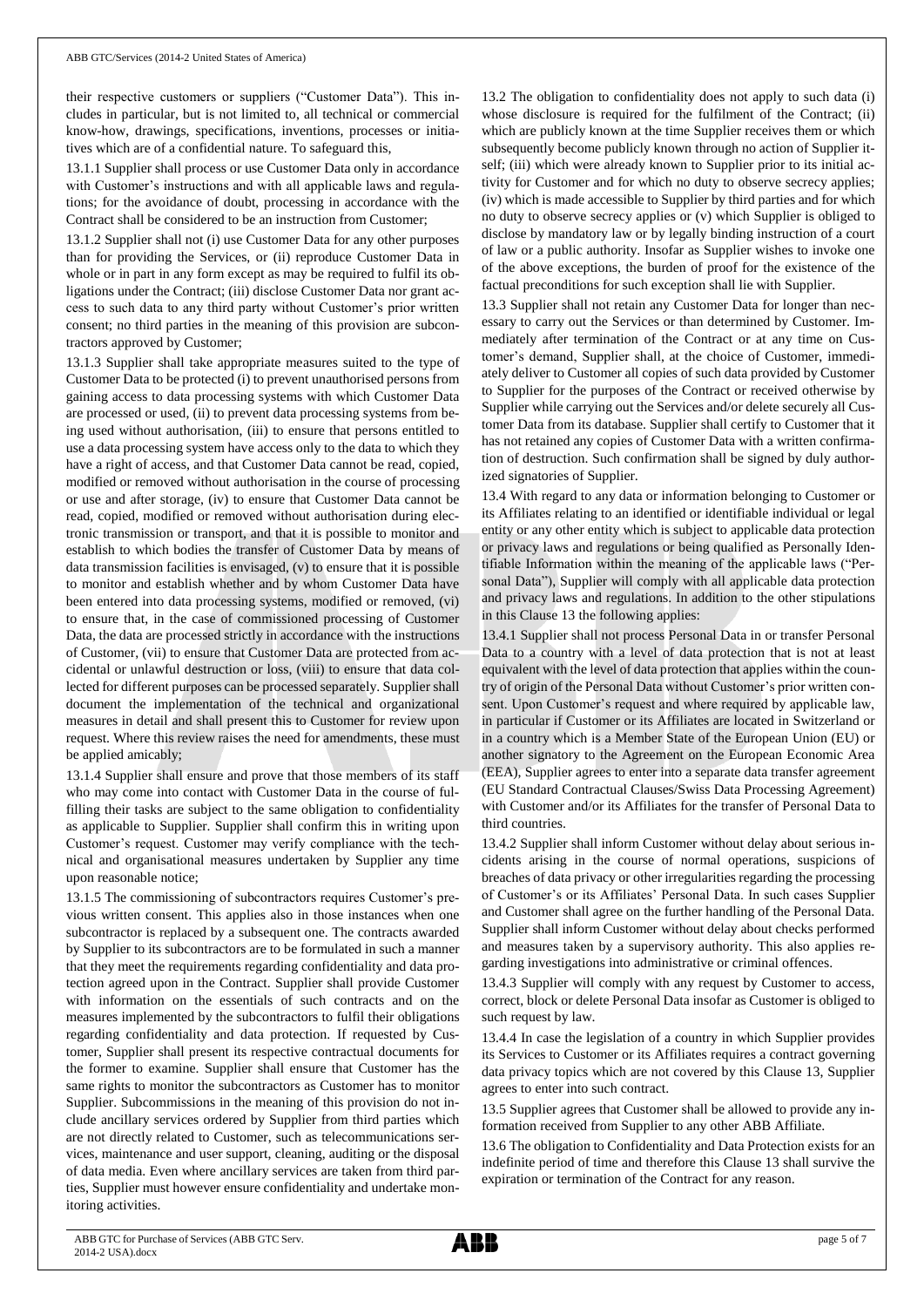their respective customers or suppliers ("Customer Data"). This includes in particular, but is not limited to, all technical or commercial know-how, drawings, specifications, inventions, processes or initiatives which are of a confidential nature. To safeguard this,

13.1.1 Supplier shall process or use Customer Data only in accordance with Customer's instructions and with all applicable laws and regulations; for the avoidance of doubt, processing in accordance with the Contract shall be considered to be an instruction from Customer;

13.1.2 Supplier shall not (i) use Customer Data for any other purposes than for providing the Services, or (ii) reproduce Customer Data in whole or in part in any form except as may be required to fulfil its obligations under the Contract; (iii) disclose Customer Data nor grant access to such data to any third party without Customer's prior written consent; no third parties in the meaning of this provision are subcontractors approved by Customer;

13.1.3 Supplier shall take appropriate measures suited to the type of Customer Data to be protected (i) to prevent unauthorised persons from gaining access to data processing systems with which Customer Data are processed or used, (ii) to prevent data processing systems from being used without authorisation, (iii) to ensure that persons entitled to use a data processing system have access only to the data to which they have a right of access, and that Customer Data cannot be read, copied, modified or removed without authorisation in the course of processing or use and after storage, (iv) to ensure that Customer Data cannot be read, copied, modified or removed without authorisation during electronic transmission or transport, and that it is possible to monitor and establish to which bodies the transfer of Customer Data by means of data transmission facilities is envisaged, (v) to ensure that it is possible to monitor and establish whether and by whom Customer Data have been entered into data processing systems, modified or removed, (vi) to ensure that, in the case of commissioned processing of Customer Data, the data are processed strictly in accordance with the instructions of Customer, (vii) to ensure that Customer Data are protected from accidental or unlawful destruction or loss, (viii) to ensure that data collected for different purposes can be processed separately. Supplier shall document the implementation of the technical and organizational measures in detail and shall present this to Customer for review upon request. Where this review raises the need for amendments, these must be applied amicably;

13.1.4 Supplier shall ensure and prove that those members of its staff who may come into contact with Customer Data in the course of fulfilling their tasks are subject to the same obligation to confidentiality as applicable to Supplier. Supplier shall confirm this in writing upon Customer's request. Customer may verify compliance with the technical and organisational measures undertaken by Supplier any time upon reasonable notice;

13.1.5 The commissioning of subcontractors requires Customer's previous written consent. This applies also in those instances when one subcontractor is replaced by a subsequent one. The contracts awarded by Supplier to its subcontractors are to be formulated in such a manner that they meet the requirements regarding confidentiality and data protection agreed upon in the Contract. Supplier shall provide Customer with information on the essentials of such contracts and on the measures implemented by the subcontractors to fulfil their obligations regarding confidentiality and data protection. If requested by Customer, Supplier shall present its respective contractual documents for the former to examine. Supplier shall ensure that Customer has the same rights to monitor the subcontractors as Customer has to monitor Supplier. Subcommissions in the meaning of this provision do not include ancillary services ordered by Supplier from third parties which are not directly related to Customer, such as telecommunications services, maintenance and user support, cleaning, auditing or the disposal of data media. Even where ancillary services are taken from third parties, Supplier must however ensure confidentiality and undertake monitoring activities.

13.2 The obligation to confidentiality does not apply to such data (i) whose disclosure is required for the fulfilment of the Contract; (ii) which are publicly known at the time Supplier receives them or which subsequently become publicly known through no action of Supplier itself; (iii) which were already known to Supplier prior to its initial activity for Customer and for which no duty to observe secrecy applies; (iv) which is made accessible to Supplier by third parties and for which no duty to observe secrecy applies or (v) which Supplier is obliged to disclose by mandatory law or by legally binding instruction of a court of law or a public authority. Insofar as Supplier wishes to invoke one of the above exceptions, the burden of proof for the existence of the factual preconditions for such exception shall lie with Supplier.

13.3 Supplier shall not retain any Customer Data for longer than necessary to carry out the Services or than determined by Customer. Immediately after termination of the Contract or at any time on Customer's demand, Supplier shall, at the choice of Customer, immediately deliver to Customer all copies of such data provided by Customer to Supplier for the purposes of the Contract or received otherwise by Supplier while carrying out the Services and/or delete securely all Customer Data from its database. Supplier shall certify to Customer that it has not retained any copies of Customer Data with a written confirmation of destruction. Such confirmation shall be signed by duly authorized signatories of Supplier.

13.4 With regard to any data or information belonging to Customer or its Affiliates relating to an identified or identifiable individual or legal entity or any other entity which is subject to applicable data protection or privacy laws and regulations or being qualified as Personally Identifiable Information within the meaning of the applicable laws ("Personal Data"), Supplier will comply with all applicable data protection and privacy laws and regulations. In addition to the other stipulations in this Clause 13 the following applies:

13.4.1 Supplier shall not process Personal Data in or transfer Personal Data to a country with a level of data protection that is not at least equivalent with the level of data protection that applies within the country of origin of the Personal Data without Customer's prior written consent. Upon Customer's request and where required by applicable law, in particular if Customer or its Affiliates are located in Switzerland or in a country which is a Member State of the European Union (EU) or another signatory to the Agreement on the European Economic Area (EEA), Supplier agrees to enter into a separate data transfer agreement (EU Standard Contractual Clauses/Swiss Data Processing Agreement) with Customer and/or its Affiliates for the transfer of Personal Data to third countries.

13.4.2 Supplier shall inform Customer without delay about serious incidents arising in the course of normal operations, suspicions of breaches of data privacy or other irregularities regarding the processing of Customer's or its Affiliates' Personal Data. In such cases Supplier and Customer shall agree on the further handling of the Personal Data. Supplier shall inform Customer without delay about checks performed and measures taken by a supervisory authority. This also applies regarding investigations into administrative or criminal offences.

13.4.3 Supplier will comply with any request by Customer to access, correct, block or delete Personal Data insofar as Customer is obliged to such request by law.

13.4.4 In case the legislation of a country in which Supplier provides its Services to Customer or its Affiliates requires a contract governing data privacy topics which are not covered by this Clause 13, Supplier agrees to enter into such contract.

13.5 Supplier agrees that Customer shall be allowed to provide any information received from Supplier to any other ABB Affiliate.

13.6 The obligation to Confidentiality and Data Protection exists for an indefinite period of time and therefore this Clause 13 shall survive the expiration or termination of the Contract for any reason.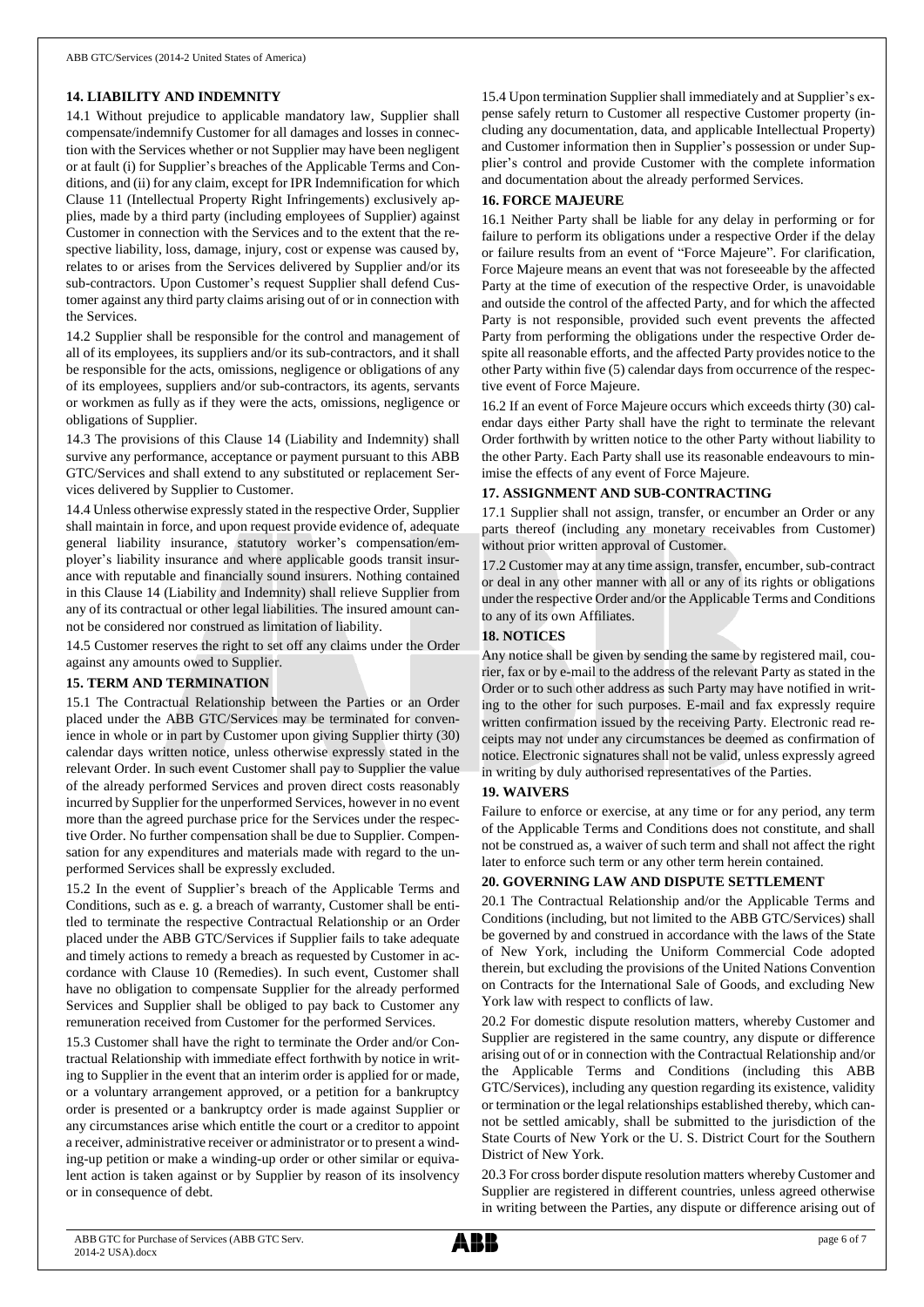### **14. LIABILITY AND INDEMNITY**

14.1 Without prejudice to applicable mandatory law, Supplier shall compensate/indemnify Customer for all damages and losses in connection with the Services whether or not Supplier may have been negligent or at fault (i) for Supplier's breaches of the Applicable Terms and Conditions, and (ii) for any claim, except for IPR Indemnification for which Clause 11 (Intellectual Property Right Infringements) exclusively applies, made by a third party (including employees of Supplier) against Customer in connection with the Services and to the extent that the respective liability, loss, damage, injury, cost or expense was caused by, relates to or arises from the Services delivered by Supplier and/or its sub-contractors. Upon Customer's request Supplier shall defend Customer against any third party claims arising out of or in connection with the Services.

14.2 Supplier shall be responsible for the control and management of all of its employees, its suppliers and/or its sub-contractors, and it shall be responsible for the acts, omissions, negligence or obligations of any of its employees, suppliers and/or sub-contractors, its agents, servants or workmen as fully as if they were the acts, omissions, negligence or obligations of Supplier.

14.3 The provisions of this Clause 14 (Liability and Indemnity) shall survive any performance, acceptance or payment pursuant to this ABB GTC/Services and shall extend to any substituted or replacement Services delivered by Supplier to Customer.

14.4 Unless otherwise expressly stated in the respective Order, Supplier shall maintain in force, and upon request provide evidence of, adequate general liability insurance, statutory worker's compensation/employer's liability insurance and where applicable goods transit insurance with reputable and financially sound insurers. Nothing contained in this Clause 14 (Liability and Indemnity) shall relieve Supplier from any of its contractual or other legal liabilities. The insured amount cannot be considered nor construed as limitation of liability.

14.5 Customer reserves the right to set off any claims under the Order against any amounts owed to Supplier.

### **15. TERM AND TERMINATION**

15.1 The Contractual Relationship between the Parties or an Order placed under the ABB GTC/Services may be terminated for convenience in whole or in part by Customer upon giving Supplier thirty (30) calendar days written notice, unless otherwise expressly stated in the relevant Order. In such event Customer shall pay to Supplier the value of the already performed Services and proven direct costs reasonably incurred by Supplier for the unperformed Services, however in no event more than the agreed purchase price for the Services under the respective Order. No further compensation shall be due to Supplier. Compensation for any expenditures and materials made with regard to the unperformed Services shall be expressly excluded.

15.2 In the event of Supplier's breach of the Applicable Terms and Conditions, such as e. g. a breach of warranty, Customer shall be entitled to terminate the respective Contractual Relationship or an Order placed under the ABB GTC/Services if Supplier fails to take adequate and timely actions to remedy a breach as requested by Customer in accordance with Clause 10 (Remedies). In such event, Customer shall have no obligation to compensate Supplier for the already performed Services and Supplier shall be obliged to pay back to Customer any remuneration received from Customer for the performed Services.

15.3 Customer shall have the right to terminate the Order and/or Contractual Relationship with immediate effect forthwith by notice in writing to Supplier in the event that an interim order is applied for or made, or a voluntary arrangement approved, or a petition for a bankruptcy order is presented or a bankruptcy order is made against Supplier or any circumstances arise which entitle the court or a creditor to appoint a receiver, administrative receiver or administrator or to present a winding-up petition or make a winding-up order or other similar or equivalent action is taken against or by Supplier by reason of its insolvency or in consequence of debt.

15.4 Upon termination Supplier shall immediately and at Supplier's expense safely return to Customer all respective Customer property (including any documentation, data, and applicable Intellectual Property) and Customer information then in Supplier's possession or under Supplier's control and provide Customer with the complete information and documentation about the already performed Services.

### **16. FORCE MAJEURE**

16.1 Neither Party shall be liable for any delay in performing or for failure to perform its obligations under a respective Order if the delay or failure results from an event of "Force Majeure". For clarification, Force Majeure means an event that was not foreseeable by the affected Party at the time of execution of the respective Order, is unavoidable and outside the control of the affected Party, and for which the affected Party is not responsible, provided such event prevents the affected Party from performing the obligations under the respective Order despite all reasonable efforts, and the affected Party provides notice to the other Party within five (5) calendar days from occurrence of the respective event of Force Majeure.

16.2 If an event of Force Majeure occurs which exceeds thirty (30) calendar days either Party shall have the right to terminate the relevant Order forthwith by written notice to the other Party without liability to the other Party. Each Party shall use its reasonable endeavours to minimise the effects of any event of Force Majeure.

### **17. ASSIGNMENT AND SUB-CONTRACTING**

17.1 Supplier shall not assign, transfer, or encumber an Order or any parts thereof (including any monetary receivables from Customer) without prior written approval of Customer.

17.2 Customer may at any time assign, transfer, encumber, sub-contract or deal in any other manner with all or any of its rights or obligations under the respective Order and/or the Applicable Terms and Conditions to any of its own Affiliates.

### **18. NOTICES**

Any notice shall be given by sending the same by registered mail, courier, fax or by e-mail to the address of the relevant Party as stated in the Order or to such other address as such Party may have notified in writing to the other for such purposes. E-mail and fax expressly require written confirmation issued by the receiving Party. Electronic read receipts may not under any circumstances be deemed as confirmation of notice. Electronic signatures shall not be valid, unless expressly agreed in writing by duly authorised representatives of the Parties.

# **19. WAIVERS**

Failure to enforce or exercise, at any time or for any period, any term of the Applicable Terms and Conditions does not constitute, and shall not be construed as, a waiver of such term and shall not affect the right later to enforce such term or any other term herein contained.

### **20. GOVERNING LAW AND DISPUTE SETTLEMENT**

20.1 The Contractual Relationship and/or the Applicable Terms and Conditions (including, but not limited to the ABB GTC/Services) shall be governed by and construed in accordance with the laws of the State of New York, including the Uniform Commercial Code adopted therein, but excluding the provisions of the United Nations Convention on Contracts for the International Sale of Goods, and excluding New York law with respect to conflicts of law.

20.2 For domestic dispute resolution matters, whereby Customer and Supplier are registered in the same country, any dispute or difference arising out of or in connection with the Contractual Relationship and/or the Applicable Terms and Conditions (including this ABB GTC/Services), including any question regarding its existence, validity or termination or the legal relationships established thereby, which cannot be settled amicably, shall be submitted to the jurisdiction of the State Courts of New York or the U. S. District Court for the Southern District of New York.

20.3 For cross border dispute resolution matters whereby Customer and Supplier are registered in different countries, unless agreed otherwise in writing between the Parties, any dispute or difference arising out of